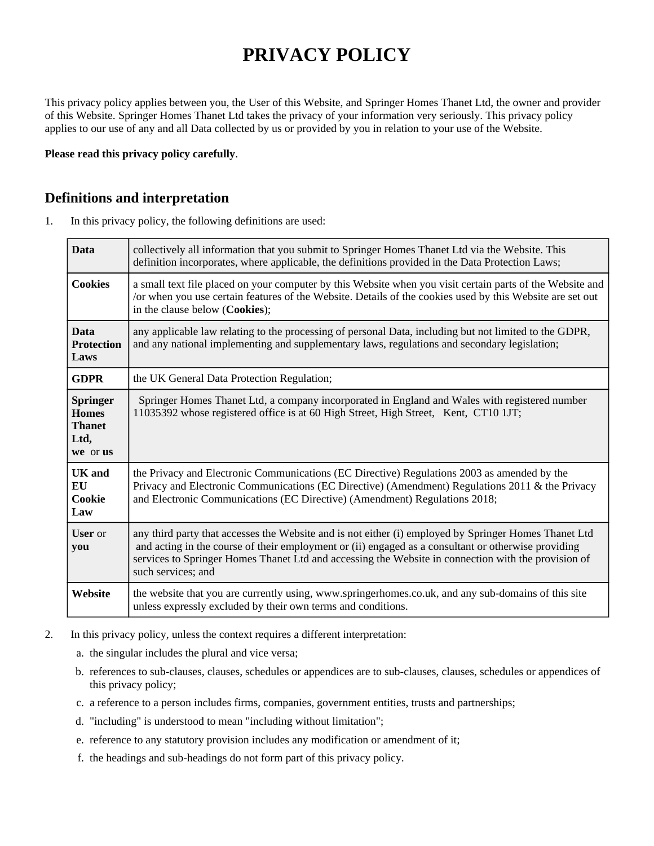# **PRIVACY POLICY**

This privacy policy applies between you, the User of this Website, and Springer Homes Thanet Ltd, the owner and provider of this Website. Springer Homes Thanet Ltd takes the privacy of your information very seriously. This privacy policy applies to our use of any and all Data collected by us or provided by you in relation to your use of the Website.

**Please read this privacy policy carefully**.

#### **Definitions and interpretation**

1. In this privacy policy, the following definitions are used:

| <b>Data</b>                                                   | collectively all information that you submit to Springer Homes Thanet Ltd via the Website. This<br>definition incorporates, where applicable, the definitions provided in the Data Protection Laws;                                                                                                                                       |
|---------------------------------------------------------------|-------------------------------------------------------------------------------------------------------------------------------------------------------------------------------------------------------------------------------------------------------------------------------------------------------------------------------------------|
| <b>Cookies</b>                                                | a small text file placed on your computer by this Website when you visit certain parts of the Website and<br>/or when you use certain features of the Website. Details of the cookies used by this Website are set out<br>in the clause below (Cookies);                                                                                  |
| <b>Data</b><br><b>Protection</b><br>Laws                      | any applicable law relating to the processing of personal Data, including but not limited to the GDPR,<br>and any national implementing and supplementary laws, regulations and secondary legislation;                                                                                                                                    |
| <b>GDPR</b>                                                   | the UK General Data Protection Regulation;                                                                                                                                                                                                                                                                                                |
| Springer<br><b>Homes</b><br><b>Thanet</b><br>Ltd,<br>we or us | Springer Homes Thanet Ltd, a company incorporated in England and Wales with registered number<br>11035392 whose registered office is at 60 High Street, High Street, Kent, CT10 1JT;                                                                                                                                                      |
| <b>UK</b> and<br>EU<br>Cookie<br>Law                          | the Privacy and Electronic Communications (EC Directive) Regulations 2003 as amended by the<br>Privacy and Electronic Communications (EC Directive) (Amendment) Regulations 2011 & the Privacy<br>and Electronic Communications (EC Directive) (Amendment) Regulations 2018;                                                              |
| <b>User</b> or<br>you                                         | any third party that accesses the Website and is not either (i) employed by Springer Homes Thanet Ltd<br>and acting in the course of their employment or (ii) engaged as a consultant or otherwise providing<br>services to Springer Homes Thanet Ltd and accessing the Website in connection with the provision of<br>such services; and |
| Website                                                       | the website that you are currently using, www.springerhomes.co.uk, and any sub-domains of this site<br>unless expressly excluded by their own terms and conditions.                                                                                                                                                                       |

- 2. In this privacy policy, unless the context requires a different interpretation:
	- a. the singular includes the plural and vice versa;
	- b. references to sub-clauses, clauses, schedules or appendices are to sub-clauses, clauses, schedules or appendices of this privacy policy;
	- c. a reference to a person includes firms, companies, government entities, trusts and partnerships;
	- d. "including" is understood to mean "including without limitation";
	- e. reference to any statutory provision includes any modification or amendment of it;
	- f. the headings and sub-headings do not form part of this privacy policy.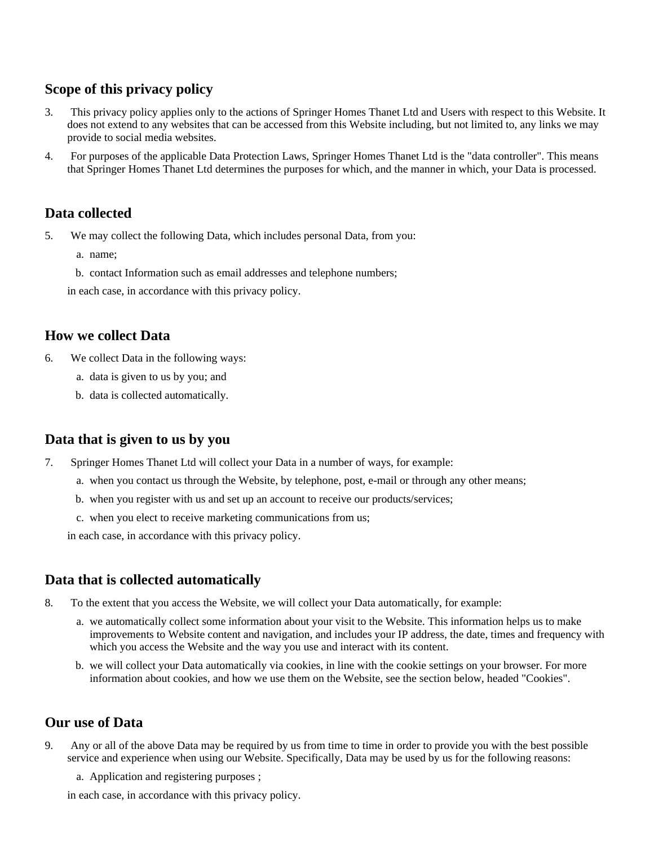## **Scope of this privacy policy**

- 3. This privacy policy applies only to the actions of Springer Homes Thanet Ltd and Users with respect to this Website. It does not extend to any websites that can be accessed from this Website including, but not limited to, any links we may provide to social media websites.
- 4. For purposes of the applicable Data Protection Laws, Springer Homes Thanet Ltd is the "data controller". This means that Springer Homes Thanet Ltd determines the purposes for which, and the manner in which, your Data is processed.

## **Data collected**

5. We may collect the following Data, which includes personal Data, from you:

- a. name;
- b. contact Information such as email addresses and telephone numbers;

in each case, in accordance with this privacy policy.

## **How we collect Data**

- 6. We collect Data in the following ways:
	- a. data is given to us by you; and
	- b. data is collected automatically.

#### **Data that is given to us by you**

- 7. Springer Homes Thanet Ltd will collect your Data in a number of ways, for example:
	- a. when you contact us through the Website, by telephone, post, e-mail or through any other means;
	- b. when you register with us and set up an account to receive our products/services;
	- c. when you elect to receive marketing communications from us;

in each case, in accordance with this privacy policy.

## **Data that is collected automatically**

- 8. To the extent that you access the Website, we will collect your Data automatically, for example:
	- a. we automatically collect some information about your visit to the Website. This information helps us to make improvements to Website content and navigation, and includes your IP address, the date, times and frequency with which you access the Website and the way you use and interact with its content.
	- b. we will collect your Data automatically via cookies, in line with the cookie settings on your browser. For more information about cookies, and how we use them on the Website, see the section below, headed "Cookies".

## **Our use of Data**

- 9. Any or all of the above Data may be required by us from time to time in order to provide you with the best possible service and experience when using our Website. Specifically, Data may be used by us for the following reasons:
	- a. Application and registering purposes ;

in each case, in accordance with this privacy policy.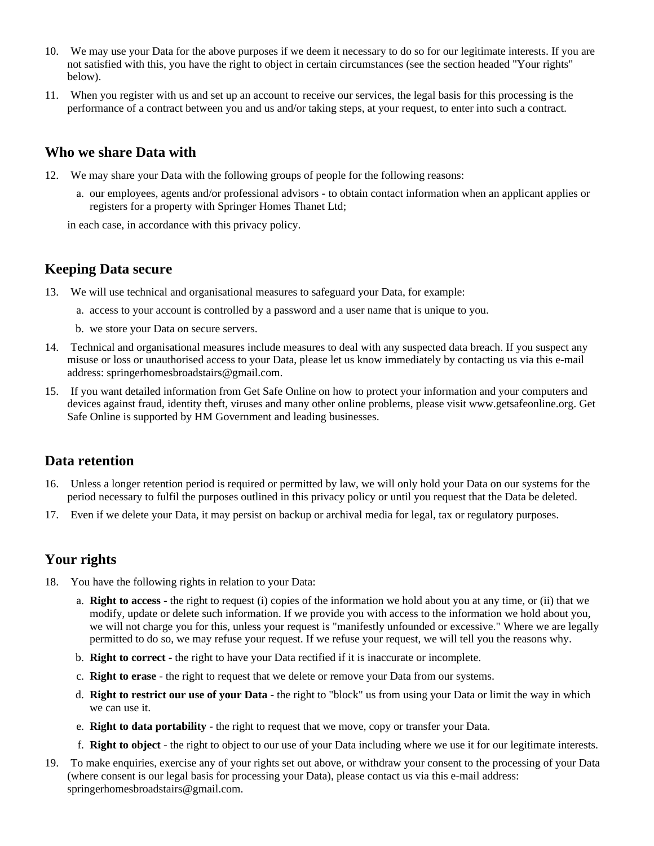- 10. We may use your Data for the above purposes if we deem it necessary to do so for our legitimate interests. If you are not satisfied with this, you have the right to object in certain circumstances (see the section headed "Your rights" below).
- 11. When you register with us and set up an account to receive our services, the legal basis for this processing is the performance of a contract between you and us and/or taking steps, at your request, to enter into such a contract.

#### **Who we share Data with**

- 12. We may share your Data with the following groups of people for the following reasons:
	- a. our employees, agents and/or professional advisors to obtain contact information when an applicant applies or registers for a property with Springer Homes Thanet Ltd;

in each case, in accordance with this privacy policy.

#### **Keeping Data secure**

- 13. We will use technical and organisational measures to safeguard your Data, for example:
	- a. access to your account is controlled by a password and a user name that is unique to you.
	- b. we store your Data on secure servers.
- 14. Technical and organisational measures include measures to deal with any suspected data breach. If you suspect any misuse or loss or unauthorised access to your Data, please let us know immediately by contacting us via this e-mail address: springerhomesbroadstairs@gmail.com.
- 15. If you want detailed information from Get Safe Online on how to protect your information and your computers and devices against fraud, identity theft, viruses and many other online problems, please visit www.getsafeonline.org. Get Safe Online is supported by HM Government and leading businesses.

#### **Data retention**

- 16. Unless a longer retention period is required or permitted by law, we will only hold your Data on our systems for the period necessary to fulfil the purposes outlined in this privacy policy or until you request that the Data be deleted.
- 17. Even if we delete your Data, it may persist on backup or archival media for legal, tax or regulatory purposes.

## **Your rights**

- 18. You have the following rights in relation to your Data:
	- a. **Right to access** the right to request (i) copies of the information we hold about you at any time, or (ii) that we modify, update or delete such information. If we provide you with access to the information we hold about you, we will not charge you for this, unless your request is "manifestly unfounded or excessive." Where we are legally permitted to do so, we may refuse your request. If we refuse your request, we will tell you the reasons why.
	- b. **Right to correct** the right to have your Data rectified if it is inaccurate or incomplete.
	- c. **Right to erase** the right to request that we delete or remove your Data from our systems.
	- d. **Right to restrict our use of your Data** the right to "block" us from using your Data or limit the way in which we can use it.
	- e. **Right to data portability** the right to request that we move, copy or transfer your Data.
	- f. **Right to object** the right to object to our use of your Data including where we use it for our legitimate interests.
- 19. To make enquiries, exercise any of your rights set out above, or withdraw your consent to the processing of your Data (where consent is our legal basis for processing your Data), please contact us via this e-mail address: springerhomesbroadstairs@gmail.com.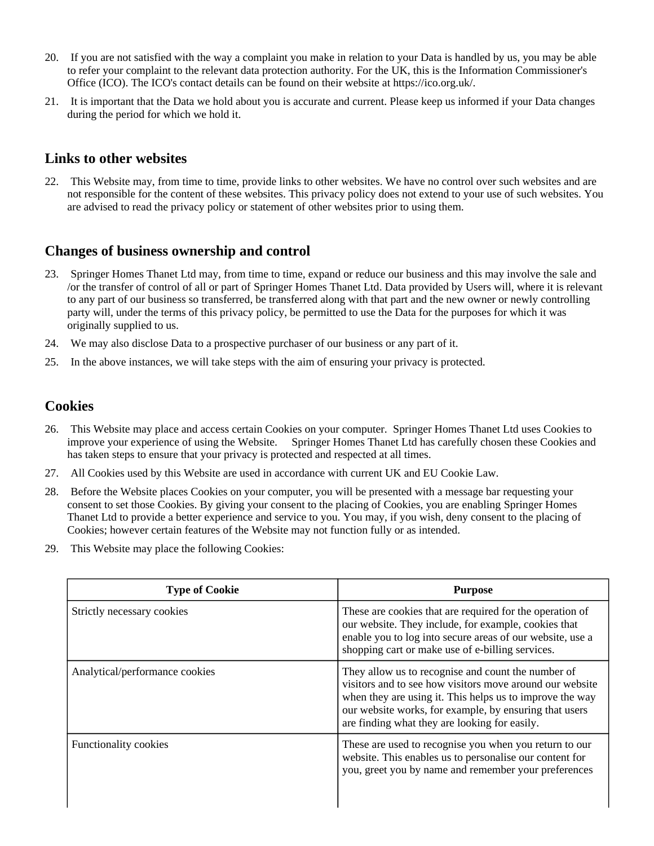- 20. If you are not satisfied with the way a complaint you make in relation to your Data is handled by us, you may be able to refer your complaint to the relevant data protection authority. For the UK, this is the Information Commissioner's Office (ICO). The ICO's contact details can be found on their website at https://ico.org.uk/.
- 21. It is important that the Data we hold about you is accurate and current. Please keep us informed if your Data changes during the period for which we hold it.

#### **Links to other websites**

22. This Website may, from time to time, provide links to other websites. We have no control over such websites and are not responsible for the content of these websites. This privacy policy does not extend to your use of such websites. You are advised to read the privacy policy or statement of other websites prior to using them.

## **Changes of business ownership and control**

- 23. Springer Homes Thanet Ltd may, from time to time, expand or reduce our business and this may involve the sale and /or the transfer of control of all or part of Springer Homes Thanet Ltd. Data provided by Users will, where it is relevant to any part of our business so transferred, be transferred along with that part and the new owner or newly controlling party will, under the terms of this privacy policy, be permitted to use the Data for the purposes for which it was originally supplied to us.
- 24. We may also disclose Data to a prospective purchaser of our business or any part of it.
- 25. In the above instances, we will take steps with the aim of ensuring your privacy is protected.

#### **Cookies**

- 26. This Website may place and access certain Cookies on your computer. Springer Homes Thanet Ltd uses Cookies to improve your experience of using the Website. Springer Homes Thanet Ltd has carefully chosen these Cookies and has taken steps to ensure that your privacy is protected and respected at all times.
- 27. All Cookies used by this Website are used in accordance with current UK and EU Cookie Law.
- 28. Before the Website places Cookies on your computer, you will be presented with a message bar requesting your consent to set those Cookies. By giving your consent to the placing of Cookies, you are enabling Springer Homes Thanet Ltd to provide a better experience and service to you. You may, if you wish, deny consent to the placing of Cookies; however certain features of the Website may not function fully or as intended.
- 29. This Website may place the following Cookies:

| <b>Type of Cookie</b>          | <b>Purpose</b>                                                                                                                                                                                                                                                                        |
|--------------------------------|---------------------------------------------------------------------------------------------------------------------------------------------------------------------------------------------------------------------------------------------------------------------------------------|
| Strictly necessary cookies     | These are cookies that are required for the operation of<br>our website. They include, for example, cookies that<br>enable you to log into secure areas of our website, use a<br>shopping cart or make use of e-billing services.                                                     |
| Analytical/performance cookies | They allow us to recognise and count the number of<br>visitors and to see how visitors move around our website<br>when they are using it. This helps us to improve the way<br>our website works, for example, by ensuring that users<br>are finding what they are looking for easily. |
| <b>Functionality cookies</b>   | These are used to recognise you when you return to our<br>website. This enables us to personalise our content for<br>you, greet you by name and remember your preferences                                                                                                             |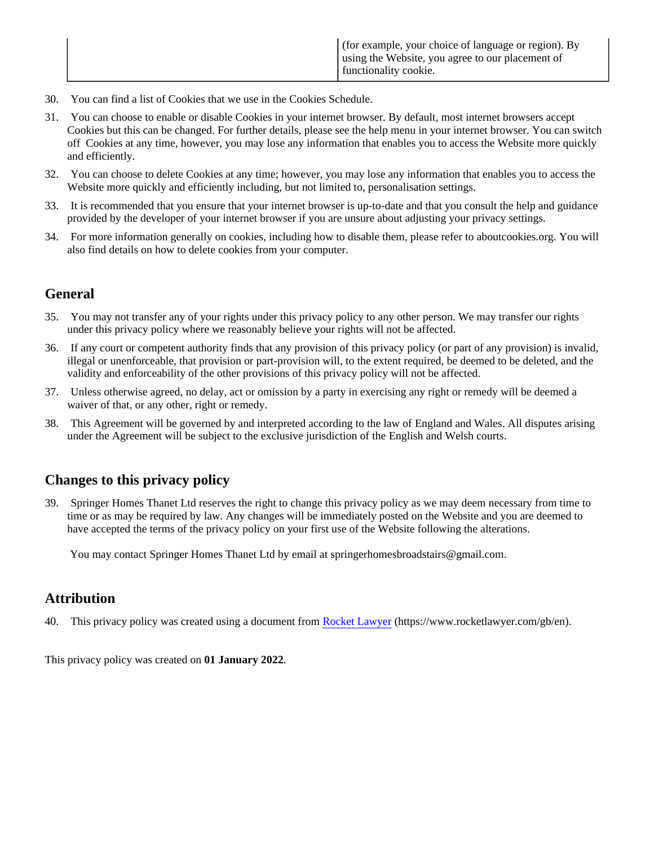- 30. You can find a list of Cookies that we use in the Cookies Schedule.
- 31. You can choose to enable or disable Cookies in your internet browser. By default, most internet browsers accept Cookies but this can be changed. For further details, please see the help menu in your internet browser. You can switch off Cookies at any time, however, you may lose any information that enables you to access the Website more quickly and efficiently.
- 32. You can choose to delete Cookies at any time; however, you may lose any information that enables you to access the Website more quickly and efficiently including, but not limited to, personalisation settings.
- 33. It is recommended that you ensure that your internet browser is up-to-date and that you consult the help and guidance provided by the developer of your internet browser if you are unsure about adjusting your privacy settings.
- 34. For more information generally on cookies, including how to disable them, please refer to aboutcookies.org. You will also find details on how to delete cookies from your computer.

## **General**

- 35. You may not transfer any of your rights under this privacy policy to any other person. We may transfer our rights under this privacy policy where we reasonably believe your rights will not be affected.
- 36. If any court or competent authority finds that any provision of this privacy policy (or part of any provision) is invalid, illegal or unenforceable, that provision or part-provision will, to the extent required, be deemed to be deleted, and the validity and enforceability of the other provisions of this privacy policy will not be affected.
- 37. Unless otherwise agreed, no delay, act or omission by a party in exercising any right or remedy will be deemed a waiver of that, or any other, right or remedy.
- 38. This Agreement will be governed by and interpreted according to the law of England and Wales. All disputes arising under the Agreement will be subject to the exclusive jurisdiction of the English and Welsh courts.

# **Changes to this privacy policy**

39. Springer Homes Thanet Ltd reserves the right to change this privacy policy as we may deem necessary from time to time or as may be required by law. Any changes will be immediately posted on the Website and you are deemed to have accepted the terms of the privacy policy on your first use of the Website following the alterations.

You may contact Springer Homes Thanet Ltd by email at springerhomesbroadstairs@gmail.com.

# **Attribution**

40. This privacy policy was created using a document from [Rocket Lawyer](https://www.rocketlawyer.com/gb/en/) (https://www.rocketlawyer.com/gb/en).

This privacy policy was created on **01 January 2022**.